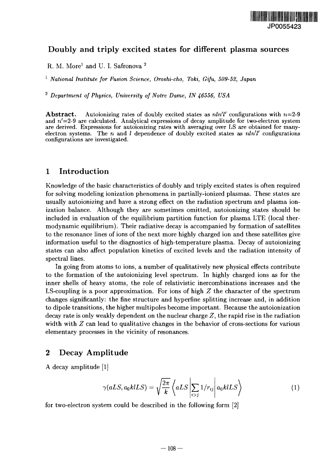

## Doubly and triply excited states for different plasma sources

R. M. More<sup>1</sup> and U. I. Safronova <sup>2</sup>

<sup>1</sup> National Institute for Fusion Science, Oroshi-cho, Toki, Gifu, 509-52, Japan

2  *Department of Physics, University of Notre Dame, IN 46556, USA*

**Abstract.** Autoionizing rates of doubly excited states as  $n!n'l'$  configurations with  $n=2-9$ and  $n'$ =2-9 are calculated. Analytical expressions of decay amplitude for two-electron system are derived. Expressions for autoionizing rates with averaging over LS are obtained for manyelectron systems. The *n* and / dependence of doubly excited states as *nln'l'* configurations configurations are investigated.

#### 1 Introduction

Knowledge of the basic characteristics of doubly and triply excited states is often required for solving modeling ionization phenomena in partially-ionized plasmas. These states are usually autoionizing and have a strong effect on the radiation spectrum and plasma ionization balance. Although they are sometimes omitted, autoionizing states should be included in evaluation of the equilibrium partition function for plasma LTE (local thermodynamic equilibrium). Their radiative decay is accompanied by formation of satellites to the resonance lines of ions of the next more highly charged ion and these satellites give information useful to the diagnostics of high-temperature plasma. Decay of autoionizing states can also affect population kinetics of excited levels and the radiation intensity of spectral lines.

In going from atoms to ions, a number of qualitatively new physical effects contribute to the formation of the autoionizing level spectrum. In highly charged ions as for the inner shells of heavy atoms, the role of relativistic inercombinations increases and the LS-coupling is a poor approximation. For ions of high *Z* the character of the spectrum changes significantly: the fine structure and hyperfine splitting increase and, in addition to dipole transitions, the higher multipoles become important. Because the autoionization decay rate is only weakly dependent on the nuclear charge *Z,* the rapid rise in the radiation width with *Z* can lead to qualitative changes in the behavior of cross-sections for various elementary processes in the vicinity of resonances.

### 2 Decay Amplitude

A decay amplitude [1]

$$
\gamma(aLS, a_0k lLS) = \sqrt{\frac{2\pi}{k}} \left\langle aLS \left| \sum_{i>j} 1/r_{ij} \right| a_0k lLS \right\rangle \tag{1}
$$

for two-electron system could be described in the following form [2]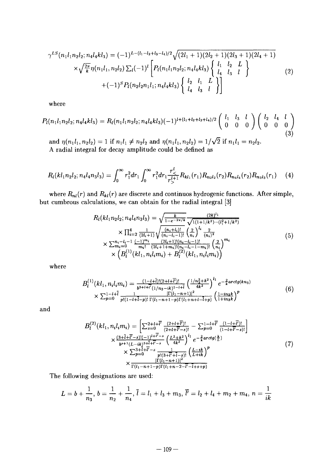$$
\gamma^{LS}(n_1l_1n_2l_2; n_4l_4kl_3) = (-1)^{L-(l_1-l_2+l_3-l_4)/2} \sqrt{(2l_1+1)(2l_2+1)(2l_3+1)(2l_4+1)} \times \sqrt{\frac{2\pi}{k}} \eta(n_1l_1, n_2l_2) \sum_l (-1)^l \left[ P_l(n_1l_1n_2l_2; n_4l_4kl_3) \left\{ \begin{array}{cc} l_1 & l_2 & L \\ l_4 & l_3 & l \end{array} \right\} \right]
$$
(2)  
 
$$
+ (-1)^S P_l(n_2l_2n_1l_1; n_4l_4kl_3) \left\{ \begin{array}{cc} l_2 & l_1 & L \\ l_4 & l_3 & l \end{array} \right\}
$$

where

$$
P_{l}(n_{1}l_{1}n_{2}l_{2};n_{4}l_{4}kl_{3}) = R_{l}(n_{1}l_{1}n_{2}l_{2};n_{4}l_{4}kl_{3})(-1)^{l+(l_{1}+l_{2}+l_{3}+l_{4})/2} \begin{pmatrix} l_{1} & l_{3} & l \\ 0 & 0 & 0 \end{pmatrix} \begin{pmatrix} l_{2} & l_{4} & l \\ 0 & 0 & 0 \end{pmatrix}
$$
\n(3)

and  $\eta(n_1 l_1,n_2 l_2 ) = 1$  if  $n_1 l_1 \neq n_2 l_2$  and  $\eta(n_1 l_1,n_2 l_2) = 1/\sqrt{2}$  if  $n$ A radial integral for decay amplitude could be defined as

$$
R_l(kl_1n_2l_2;n_4l_4n_3l_3)=\int_0^\infty r_1^2dr_1\int_0^\infty r_1^2dr_1\frac{r_<^l}{r_>^{l+1}}R_{kl_1}(r_1)R_{n_2l_2}(r_2)R_{n_4l_4}(r_2)R_{n_3l_3}(r_1)\qquad (4)
$$

where  $R_{nl}(r)$  and  $R_{kl}(r)$  are discrete and continuos hydrogenic functions. After simple, but cumbrous calculations, we can obtain for the radial integral [3]

$$
R_{l}(kl_{1}n_{2}l_{2}; n_{4}l_{4}n_{3}l_{3}) = \sqrt{\frac{k}{1 - e^{-2\pi/k}} \frac{(2k)^{l_{1}}}{\sqrt{1(1 + 1/k^{2})\cdots(l_{1}^{2} + 1/k^{2})}}}
$$
  
\n
$$
\times \prod_{i=2}^{4} \frac{1}{(2l_{i}+1)} \sqrt{\frac{(n_{i}+l_{i})!}{(n_{i}-l_{i}-1)!}} \left(\frac{2}{n_{i}}\right)^{l_{i}} \frac{2}{(n_{i})^{2}}
$$
  
\n
$$
\times \sum_{m_{i}=0}^{n_{i}-l_{i}-1} \frac{(-1)^{m_{i}}}{m_{i}!} \frac{(2l_{i}+1)!(n_{i}-l_{i}-1)!}{(2l_{i}+1+m_{i})!(n_{i}-l_{i}-1-m_{i})!} \left(\frac{2}{n_{i}}\right)^{m_{i}}
$$
  
\n
$$
\times \left(B_{l}^{(1)}(kl_{1}, n_{i}l_{i}m_{i}) + B_{l}^{(2)}(kl_{1}, n_{i}l_{i}m_{i})\right)
$$
  
\n(5)

where

$$
B_{l}^{(1)}(kl_{1}, n_{i}l_{i}m_{i}) = \frac{(1-l+1)!(2+l+1)!}{b^{3+l+1}((1/n_{3}-ik)^{1-l+1})} \left(\frac{1/n_{3}^{2}+k^{2}}{4k^{2}}\right)^{l_{1}} e^{-\frac{2}{k} arctg(kn_{3})}
$$
  
 
$$
\times \sum_{p=0}^{1-l+1} \frac{1}{p!(1-l+1-p)!} \frac{|\Gamma(l_{1}-n+1)|^{2}}{\Gamma(l_{1}-n+1-p)\Gamma(l_{1}+n+l-1+p)} \left(\frac{1-in_{3}k}{1+insk}\right)^{p}
$$
(6)

and

$$
B_{l}^{(2)}(kl_{1}, n_{i}l_{i}m_{i}) = \left[\sum_{s=0}^{2+l+\overline{l'}} \frac{(2+l+\overline{l'})!}{(2+l+\overline{l'}-s)!} - \sum_{p=0}^{1-l+\overline{l'}} \frac{(1-l+\overline{l'})!}{(1-l+\overline{l'}-s)!}\right] \times \frac{(3+\overline{l}+\overline{l'}-s)!(-1)^{l+\overline{l'}-s}}{b^{s+1}(L-ik)^{3+\overline{l}+\overline{l'}-s}} \left(\frac{L^{2}+k^{2}}{4k^{2}}\right)^{l_{1}} e^{-\frac{2}{k} arctg\left(\frac{k}{L}\right)} \times \sum_{p=0}^{3+l+\overline{l'}-s} \frac{1}{p!(3+l'+\overline{l}-s)!} \left(\frac{L-ik}{L+ik}\right)^{p} \times \frac{|\Gamma(l_{1}-n+1)|^{2}}{\Gamma(l_{1}-n+1-p)\Gamma(l_{1}+n-2-\overline{l'}-l+s+p)} \tag{7}
$$

The following designations are used:

$$
L = b + \frac{1}{n_3}, \, b = \frac{1}{n_2} + \frac{1}{n_4}, \, \bar{l} = l_1 + l_3 + m_3, \, \bar{l'} = l_2 + l_4 + m_2 + m_4, \, n = \frac{1}{ik}
$$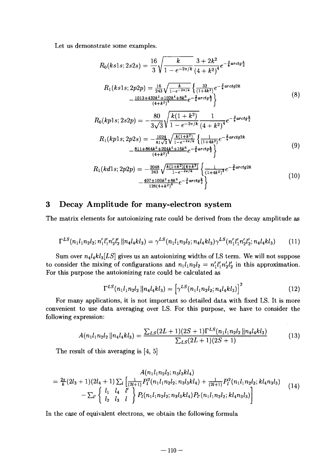Let us demonstrate some examples.

$$
R_{0}(ks1s; 2s2s) = \frac{16}{3} \sqrt{\frac{k}{1 - e^{-2\pi/k}}} \frac{3 + 2k^{2}}{(4 + k^{2})^{4}} e^{-\frac{2}{k} arctg\frac{k}{2}}
$$
  
\n
$$
R_{1}(ks1s; 2p2p) = \frac{16}{243} \sqrt{\frac{k}{1 - e^{-2\pi/k}}} \left\{ \frac{32}{(1 + 4k^{2})} e^{-\frac{2}{k} arctg2k} - \frac{1013 + 432k^{2} + 102k^{4} + 8k^{6}}{(4 + k^{2})^{4}} e^{-\frac{2}{k} arctg\frac{k}{2}} \right\}
$$
  
\n
$$
R_{0}(kp1s; 2s2p) = -\frac{80}{3\sqrt{3}} \sqrt{\frac{k(1 + k^{2})}{1 - e^{-2\pi/k}}} \frac{1}{(4 + k^{2})^{4}} e^{-\frac{2}{k} arctg\frac{k}{2}}
$$
  
\n
$$
R_{1}(kp1s; 2p2s) = -\frac{1024}{81\sqrt{3}} \sqrt{\frac{k(1 + k^{2})}{1 - e^{-2\pi/k}}} \left\{ \frac{1}{(1 + 4k^{2})} e^{-\frac{2}{k} arctg2k} - \frac{811 + 864k^{2} + 204k^{4} + 16k^{6}}{(4 + k^{2})^{4}} e^{-\frac{2}{k} arctg\frac{k}{2}} \right\}
$$
  
\n(9)

$$
R_1(kd1s; 2p2p) = -\frac{2048}{243} \sqrt{\frac{k(1+k^2)(4+k^2)}{1-e^{-2\pi/k}}} \left\{ \frac{1}{(1+4k^2)^2} e^{-\frac{2}{k} arctg2k} -\frac{407+100k^2+8k^4}{128(4+k^2)^4} e^{-\frac{2}{k} arctg\frac{k}{2}} \right\}
$$
(10)

# 3 Decay Amplitude for many-electron system

The matrix elements for autoionizing rate could be derived from the decay amplitude as

$$
\Gamma^{LS}(n_1l_1n_2l_2; n'_1l'_1n'_2l'_2 || n_4l_4kl_3) = \gamma^{LS}(n_1l_1n_2l_2; n_4l_4kl_3)\gamma^{LS}(n'_1l'_1n'_2l'_2; n_4l_4kl_3)
$$
(11)

Sum over  $n_4l_4kl_3[LS]$  gives us an autoionizing widths of LS term. We will not suppose to consider the mixing of configurations and  $n_1l_1n_2l_2 = n'_1l'_1n'_2l'_2$  in this approximation. For this purpose the autoionizing rate could be calculated as

$$
\Gamma^{LS}(n_1l_1n_2l_2||n_4l_4kl_3) = \left[\gamma^{LS}(n_1l_1n_2l_2; n_4l_4kl_3)\right]^2 \tag{12}
$$

For many applications, it is not important so detailed data with fixed LS. It is more convenient to use data averaging over LS. For this purpose, we have to consider the following expression:

$$
A(n_1l_1n_2l_2||n_4l_4kl_3) = \frac{\sum_{LS}(2L+1)(2S+1)\Gamma^{LS}(n_1l_1n_2l_2||n_4l_4kl_3)}{\sum_{LS}(2L+1)(2S+1)}
$$
(13)

The result of this averaging is [4, 5]

$$
A(n_1l_1n_2l_2;n_3l_3kl_4)
$$
  
=  $\frac{2\pi}{k}(2l_3+1)(2l_4+1)\sum_l\left[\frac{1}{(2l+1)}P_l^2(n_1l_1n_2l_2;n_3l_3kl_4)+\frac{1}{(2l+1)}P_l^2(n_1l_1n_2l_2;kl_4n_3l_3)-\sum_{l'}\begin{Bmatrix}l_1 & l_4 & l' \\ l_2 & l_3 & l\end{Bmatrix}P_l(n_1l_1n_2l_2;n_3l_3kl_4)P_{l'}(n_1l_1n_2l_2;kl_4n_3l_3)\right]$ (14)

In the case of equivalent electrons, we obtain the following formula